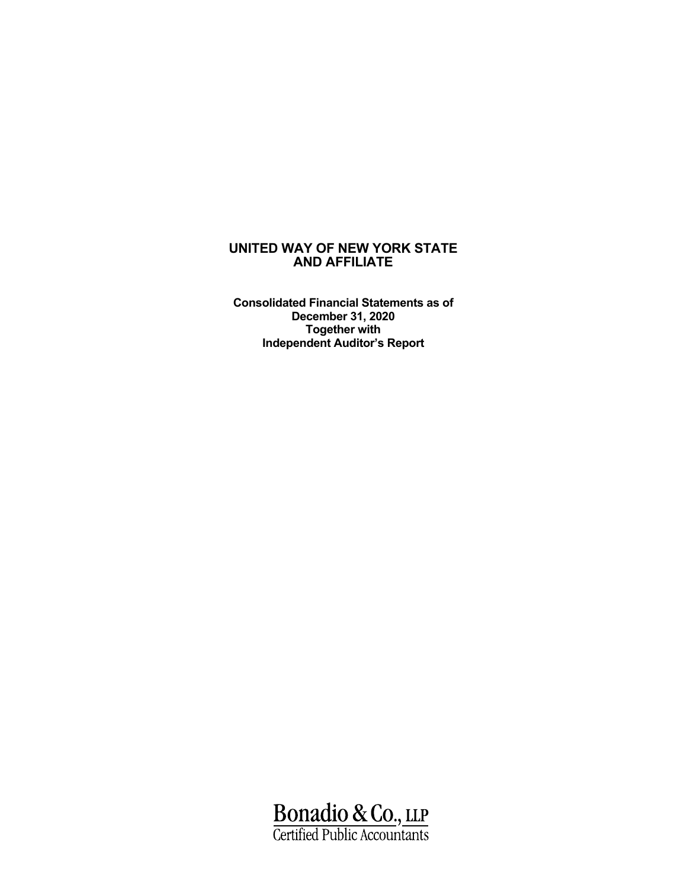**Consolidated Financial Statements as of December 31, 2020 Together with Independent Auditor's Report**

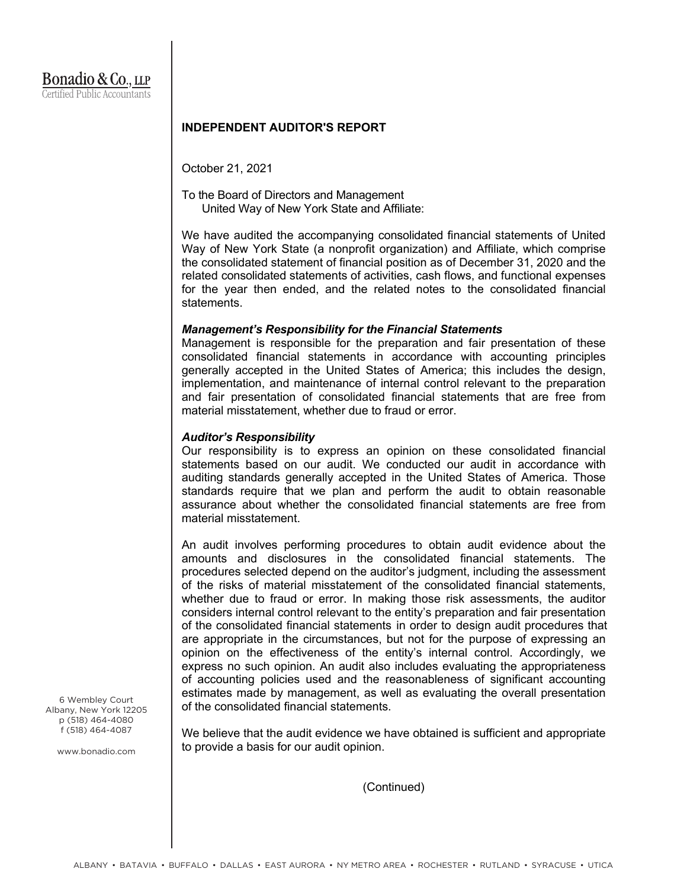#### **INDEPENDENT AUDITOR'S REPORT**

October 21, 2021

To the Board of Directors and Management United Way of New York State and Affiliate:

We have audited the accompanying consolidated financial statements of United Way of New York State (a nonprofit organization) and Affiliate, which comprise the consolidated statement of financial position as of December 31, 2020 and the related consolidated statements of activities, cash flows, and functional expenses for the year then ended, and the related notes to the consolidated financial statements.

#### *Management's Responsibility for the Financial Statements*

Management is responsible for the preparation and fair presentation of these consolidated financial statements in accordance with accounting principles generally accepted in the United States of America; this includes the design, implementation, and maintenance of internal control relevant to the preparation and fair presentation of consolidated financial statements that are free from material misstatement, whether due to fraud or error.

#### *Auditor's Responsibility*

Our responsibility is to express an opinion on these consolidated financial statements based on our audit. We conducted our audit in accordance with auditing standards generally accepted in the United States of America. Those standards require that we plan and perform the audit to obtain reasonable assurance about whether the consolidated financial statements are free from material misstatement.

An audit involves performing procedures to obtain audit evidence about the amounts and disclosures in the consolidated financial statements. The procedures selected depend on the auditor's judgment, including the assessment of the risks of material misstatement of the consolidated financial statements, whether due to fraud or error. In making those risk assessments, the auditor considers internal control relevant to the entity's preparation and fair presentation of the consolidated financial statements in order to design audit procedures that are appropriate in the circumstances, but not for the purpose of expressing an opinion on the effectiveness of the entity's internal control. Accordingly, we express no such opinion. An audit also includes evaluating the appropriateness of accounting policies used and the reasonableness of significant accounting estimates made by management, as well as evaluating the overall presentation of the consolidated financial statements.

We believe that the audit evidence we have obtained is sufficient and appropriate to provide a basis for our audit opinion.

(Continued)

6 Wembley Court Albany, New York 12205 p (518) 464-4080 f (518) 464-4087

www.bonadio.com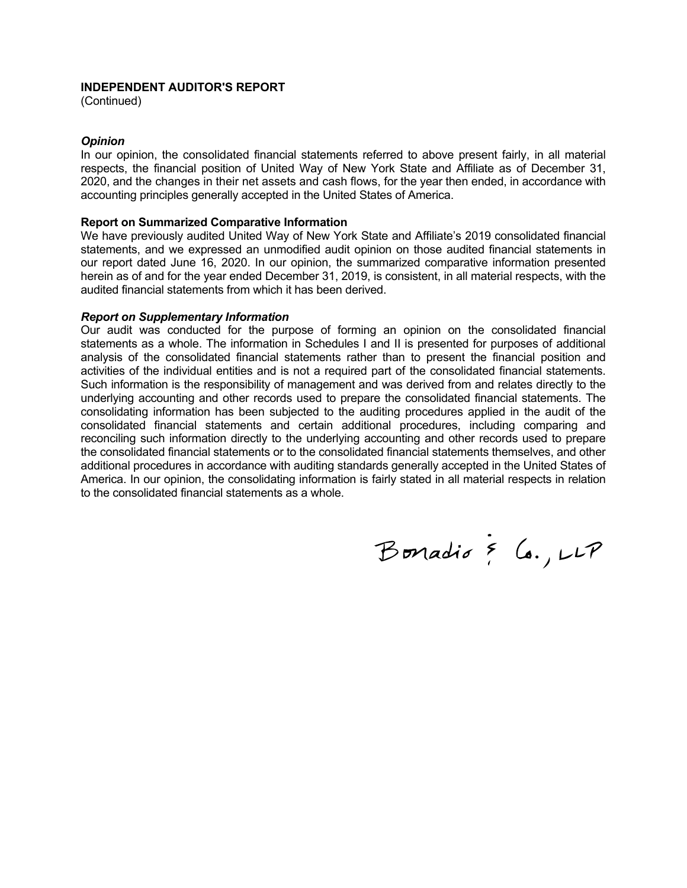#### **INDEPENDENT AUDITOR'S REPORT**

(Continued)

#### *Opinion*

In our opinion, the consolidated financial statements referred to above present fairly, in all material respects, the financial position of United Way of New York State and Affiliate as of December 31, 2020, and the changes in their net assets and cash flows, for the year then ended, in accordance with accounting principles generally accepted in the United States of America.

#### **Report on Summarized Comparative Information**

We have previously audited United Way of New York State and Affiliate's 2019 consolidated financial statements, and we expressed an unmodified audit opinion on those audited financial statements in our report dated June 16, 2020. In our opinion, the summarized comparative information presented herein as of and for the year ended December 31, 2019, is consistent, in all material respects, with the audited financial statements from which it has been derived.

#### *Report on Supplementary Information*

Our audit was conducted for the purpose of forming an opinion on the consolidated financial statements as a whole. The information in Schedules I and II is presented for purposes of additional analysis of the consolidated financial statements rather than to present the financial position and activities of the individual entities and is not a required part of the consolidated financial statements. Such information is the responsibility of management and was derived from and relates directly to the underlying accounting and other records used to prepare the consolidated financial statements. The consolidating information has been subjected to the auditing procedures applied in the audit of the consolidated financial statements and certain additional procedures, including comparing and reconciling such information directly to the underlying accounting and other records used to prepare the consolidated financial statements or to the consolidated financial statements themselves, and other additional procedures in accordance with auditing standards generally accepted in the United States of America. In our opinion, the consolidating information is fairly stated in all material respects in relation to the consolidated financial statements as a whole.

Bonadio & Co., LLP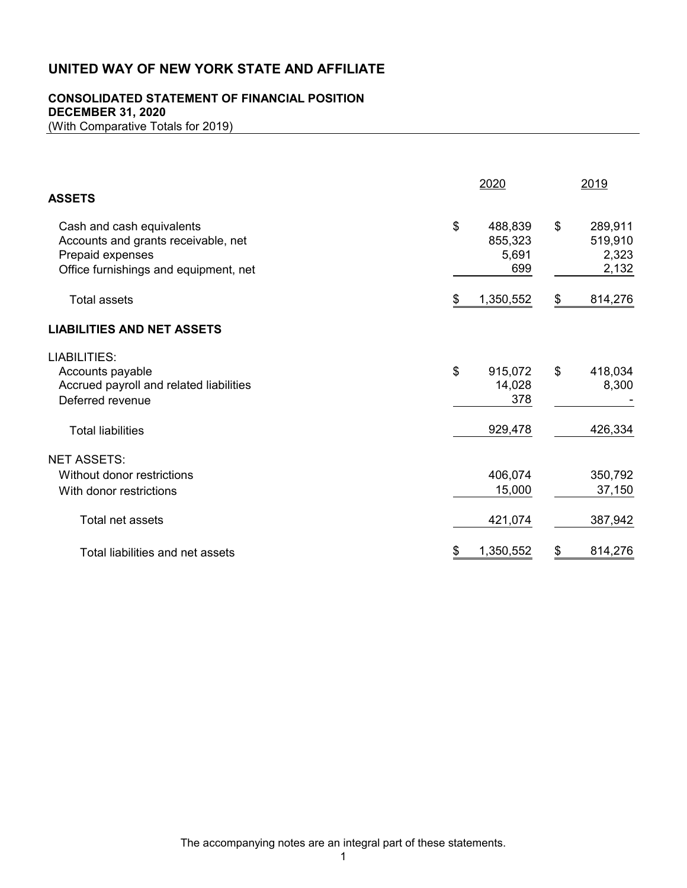# **CONSOLIDATED STATEMENT OF FINANCIAL POSITION**

**DECEMBER 31, 2020**

(With Comparative Totals for 2019)

| <b>ASSETS</b>                                                                                                                 | 2020 | 2019                                                                             |
|-------------------------------------------------------------------------------------------------------------------------------|------|----------------------------------------------------------------------------------|
| Cash and cash equivalents<br>Accounts and grants receivable, net<br>Prepaid expenses<br>Office furnishings and equipment, net | \$   | \$<br>488,839<br>289,911<br>519,910<br>855,323<br>5,691<br>2,323<br>699<br>2,132 |
| <b>Total assets</b>                                                                                                           | \$   | 814,276<br>1,350,552<br>\$                                                       |
| <b>LIABILITIES AND NET ASSETS</b>                                                                                             |      |                                                                                  |
| <b>LIABILITIES:</b><br>Accounts payable<br>Accrued payroll and related liabilities<br>Deferred revenue                        | \$   | \$<br>915,072<br>418,034<br>8,300<br>14,028<br>378                               |
| <b>Total liabilities</b>                                                                                                      |      | 426,334<br>929,478                                                               |
| <b>NET ASSETS:</b><br>Without donor restrictions<br>With donor restrictions                                                   |      | 406,074<br>350,792<br>15,000<br>37,150                                           |
| Total net assets                                                                                                              |      | 421,074<br>387,942                                                               |
| Total liabilities and net assets                                                                                              | S    | 1,350,552<br>814,276<br>S                                                        |

The accompanying notes are an integral part of these statements.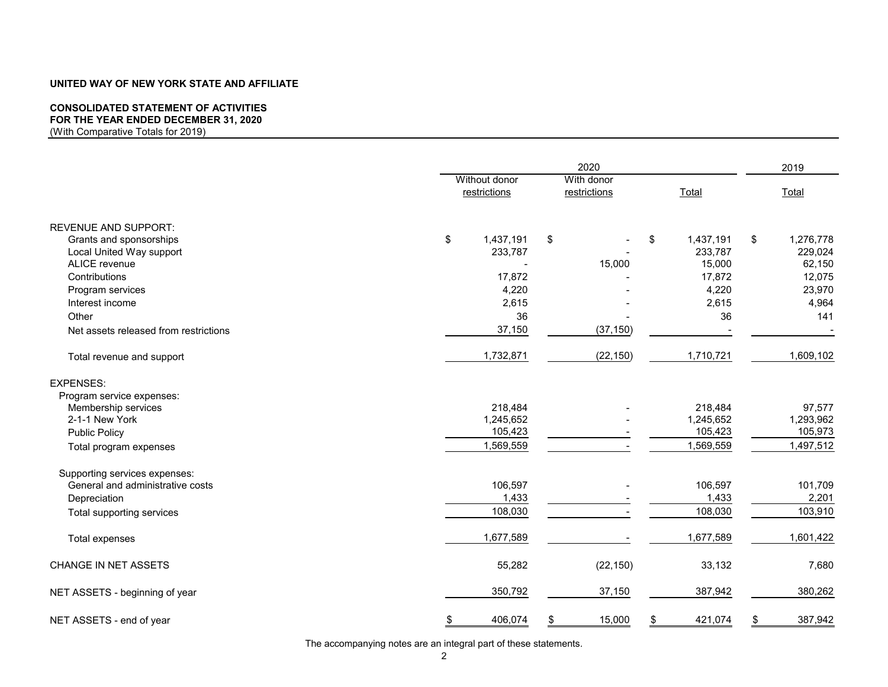## **CONSOLIDATED STATEMENT OF ACTIVITIES**

# **FOR THE YEAR ENDED DECEMBER 31, 2020**

(With Comparative Totals for 2019)

|                                       | 2020                          |                            |    |           |    | 2019      |  |
|---------------------------------------|-------------------------------|----------------------------|----|-----------|----|-----------|--|
|                                       | Without donor<br>restrictions | With donor<br>restrictions |    | Total     |    | Total     |  |
| <b>REVENUE AND SUPPORT:</b>           |                               |                            |    |           |    |           |  |
| Grants and sponsorships               | \$<br>1,437,191               | \$                         | \$ | 1,437,191 | \$ | 1,276,778 |  |
| Local United Way support              | 233,787                       |                            |    | 233,787   |    | 229,024   |  |
| ALICE revenue                         |                               | 15,000                     |    | 15,000    |    | 62,150    |  |
| Contributions                         | 17,872                        |                            |    | 17,872    |    | 12,075    |  |
| Program services                      | 4,220                         |                            |    | 4,220     |    | 23,970    |  |
| Interest income                       | 2,615                         |                            |    | 2,615     |    | 4,964     |  |
| Other                                 | 36                            |                            |    | 36        |    | 141       |  |
| Net assets released from restrictions | 37,150                        | (37, 150)                  |    |           |    |           |  |
| Total revenue and support             | 1,732,871                     | (22, 150)                  |    | 1,710,721 |    | 1,609,102 |  |
| <b>EXPENSES:</b>                      |                               |                            |    |           |    |           |  |
| Program service expenses:             |                               |                            |    |           |    |           |  |
| Membership services                   | 218,484                       |                            |    | 218,484   |    | 97,577    |  |
| 2-1-1 New York                        | 1,245,652                     |                            |    | 1,245,652 |    | 1,293,962 |  |
| <b>Public Policy</b>                  | 105,423                       |                            |    | 105,423   |    | 105,973   |  |
| Total program expenses                | 1,569,559                     |                            |    | 1,569,559 |    | 1,497,512 |  |
| Supporting services expenses:         |                               |                            |    |           |    |           |  |
| General and administrative costs      | 106,597                       |                            |    | 106,597   |    | 101,709   |  |
| Depreciation                          | 1,433                         |                            |    | 1,433     |    | 2,201     |  |
| Total supporting services             | 108,030                       |                            |    | 108,030   |    | 103,910   |  |
| Total expenses                        | 1,677,589                     |                            |    | 1,677,589 |    | 1,601,422 |  |
| CHANGE IN NET ASSETS                  | 55,282                        | (22, 150)                  |    | 33,132    |    | 7,680     |  |
| NET ASSETS - beginning of year        | 350,792                       | 37,150                     |    | 387,942   |    | 380,262   |  |
| NET ASSETS - end of year              | \$<br>406,074                 | 15,000<br>\$               | \$ | 421,074   | S  | 387,942   |  |

The accompanying notes are an integral part of these statements.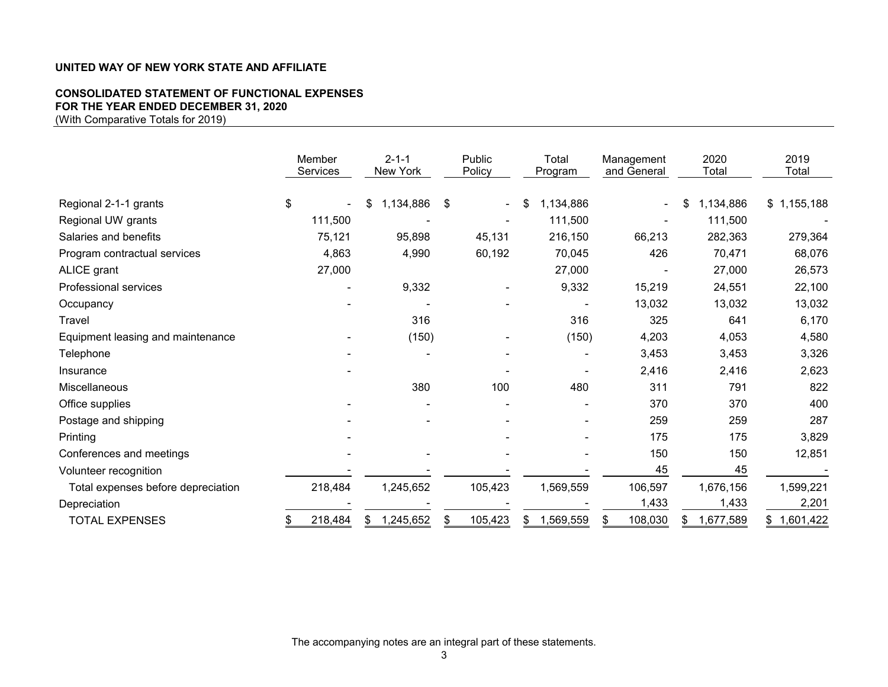# **CONSOLIDATED STATEMENT OF FUNCTIONAL EXPENSES FOR THE YEAR ENDED DECEMBER 31, 2020**

(With Comparative Totals for 2019)

|                                    | Member<br>Services | $2 - 1 - 1$<br>New York | Public<br>Policy     | Total<br>Program | Management<br>and General | 2020<br>Total   | 2019<br>Total |
|------------------------------------|--------------------|-------------------------|----------------------|------------------|---------------------------|-----------------|---------------|
| Regional 2-1-1 grants              | \$                 | 1,134,886<br>\$         | \$<br>$\blacksquare$ | 1,134,886<br>\$  |                           | 1,134,886       | \$1,155,188   |
| Regional UW grants                 | 111,500            |                         |                      | 111,500          |                           | 111,500         |               |
| Salaries and benefits              | 75,121             | 95,898                  | 45,131               | 216,150          | 66,213                    | 282,363         | 279,364       |
| Program contractual services       | 4,863              | 4,990                   | 60,192               | 70,045           | 426                       | 70,471          | 68,076        |
| ALICE grant                        | 27,000             |                         |                      | 27,000           |                           | 27,000          | 26,573        |
| <b>Professional services</b>       |                    | 9,332                   |                      | 9,332            | 15,219                    | 24,551          | 22,100        |
| Occupancy                          |                    |                         |                      |                  | 13,032                    | 13,032          | 13,032        |
| Travel                             |                    | 316                     |                      | 316              | 325                       | 641             | 6,170         |
| Equipment leasing and maintenance  |                    | (150)                   |                      | (150)            | 4,203                     | 4,053           | 4,580         |
| Telephone                          |                    |                         |                      |                  | 3,453                     | 3,453           | 3,326         |
| Insurance                          |                    |                         |                      |                  | 2,416                     | 2,416           | 2,623         |
| Miscellaneous                      |                    | 380                     | 100                  | 480              | 311                       | 791             | 822           |
| Office supplies                    |                    |                         |                      |                  | 370                       | 370             | 400           |
| Postage and shipping               |                    |                         |                      |                  | 259                       | 259             | 287           |
| Printing                           |                    |                         |                      |                  | 175                       | 175             | 3,829         |
| Conferences and meetings           |                    |                         |                      |                  | 150                       | 150             | 12,851        |
| Volunteer recognition              |                    |                         |                      |                  | 45                        | 45              |               |
| Total expenses before depreciation | 218,484            | 1,245,652               | 105,423              | 1,569,559        | 106,597                   | 1,676,156       | 1,599,221     |
| Depreciation                       |                    |                         |                      |                  | 1,433                     | 1,433           | 2,201         |
| <b>TOTAL EXPENSES</b>              | 218,484<br>\$      | 1,245,652               | 105,423              | 1,569,559<br>\$  | 108,030<br>\$             | 1,677,589<br>\$ | \$1,601,422   |

The accompanying notes are an integral part of these statements.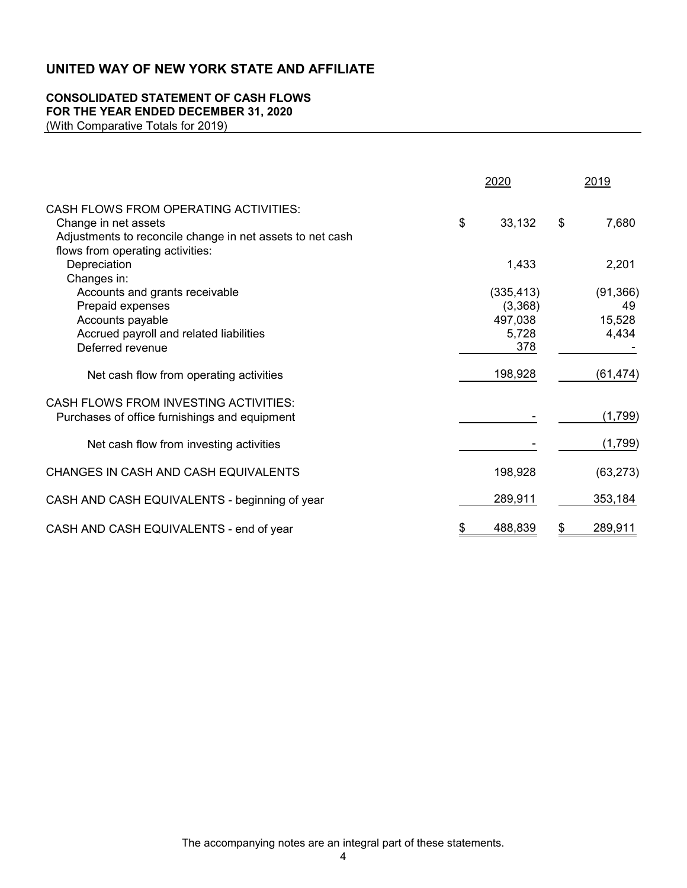## **CONSOLIDATED STATEMENT OF CASH FLOWS FOR THE YEAR ENDED DECEMBER 31, 2020**

(With Comparative Totals for 2019)

|                                                                                                                                          | 2020                                             | 2019                               |
|------------------------------------------------------------------------------------------------------------------------------------------|--------------------------------------------------|------------------------------------|
| <b>CASH FLOWS FROM OPERATING ACTIVITIES:</b><br>Change in net assets<br>Adjustments to reconcile change in net assets to net cash        | \$<br>33,132                                     | \$<br>7,680                        |
| flows from operating activities:<br>Depreciation<br>Changes in:                                                                          | 1,433                                            | 2,201                              |
| Accounts and grants receivable<br>Prepaid expenses<br>Accounts payable<br>Accrued payroll and related liabilities<br>Deferred revenue    | (335, 413)<br>(3,368)<br>497,038<br>5,728<br>378 | (91, 366)<br>49<br>15,528<br>4,434 |
| Net cash flow from operating activities                                                                                                  | 198,928                                          | (61, 474)                          |
| <b>CASH FLOWS FROM INVESTING ACTIVITIES:</b><br>Purchases of office furnishings and equipment<br>Net cash flow from investing activities |                                                  | (1,799)<br>(1,799)                 |
| CHANGES IN CASH AND CASH EQUIVALENTS                                                                                                     | 198,928                                          | (63, 273)                          |
| CASH AND CASH EQUIVALENTS - beginning of year                                                                                            | 289,911                                          | 353,184                            |
| CASH AND CASH EQUIVALENTS - end of year                                                                                                  | \$<br>488,839                                    | \$<br>289,911                      |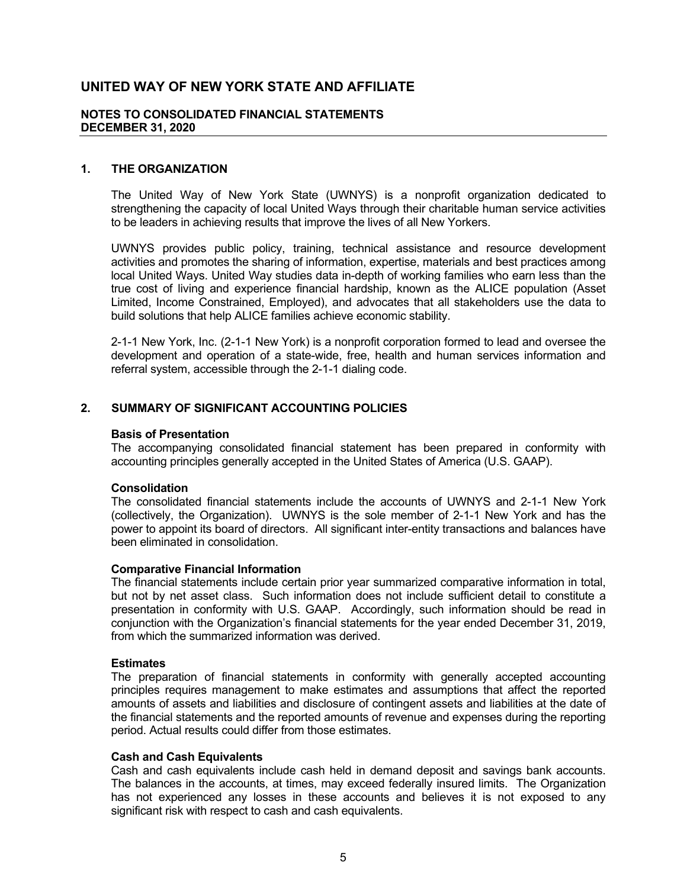#### **NOTES TO CONSOLIDATED FINANCIAL STATEMENTS DECEMBER 31, 2020**

#### **1. THE ORGANIZATION**

The United Way of New York State (UWNYS) is a nonprofit organization dedicated to strengthening the capacity of local United Ways through their charitable human service activities to be leaders in achieving results that improve the lives of all New Yorkers.

UWNYS provides public policy, training, technical assistance and resource development activities and promotes the sharing of information, expertise, materials and best practices among local United Ways. United Way studies data in-depth of working families who earn less than the true cost of living and experience financial hardship, known as the ALICE population (Asset Limited, Income Constrained, Employed), and advocates that all stakeholders use the data to build solutions that help ALICE families achieve economic stability.

2-1-1 New York, Inc. (2-1-1 New York) is a nonprofit corporation formed to lead and oversee the development and operation of a state-wide, free, health and human services information and referral system, accessible through the 2-1-1 dialing code.

## **2. SUMMARY OF SIGNIFICANT ACCOUNTING POLICIES**

#### **Basis of Presentation**

The accompanying consolidated financial statement has been prepared in conformity with accounting principles generally accepted in the United States of America (U.S. GAAP).

#### **Consolidation**

The consolidated financial statements include the accounts of UWNYS and 2-1-1 New York (collectively, the Organization). UWNYS is the sole member of 2-1-1 New York and has the power to appoint its board of directors. All significant inter-entity transactions and balances have been eliminated in consolidation.

#### **Comparative Financial Information**

The financial statements include certain prior year summarized comparative information in total, but not by net asset class. Such information does not include sufficient detail to constitute a presentation in conformity with U.S. GAAP. Accordingly, such information should be read in conjunction with the Organization's financial statements for the year ended December 31, 2019, from which the summarized information was derived.

#### **Estimates**

The preparation of financial statements in conformity with generally accepted accounting principles requires management to make estimates and assumptions that affect the reported amounts of assets and liabilities and disclosure of contingent assets and liabilities at the date of the financial statements and the reported amounts of revenue and expenses during the reporting period. Actual results could differ from those estimates.

#### **Cash and Cash Equivalents**

Cash and cash equivalents include cash held in demand deposit and savings bank accounts. The balances in the accounts, at times, may exceed federally insured limits. The Organization has not experienced any losses in these accounts and believes it is not exposed to any significant risk with respect to cash and cash equivalents.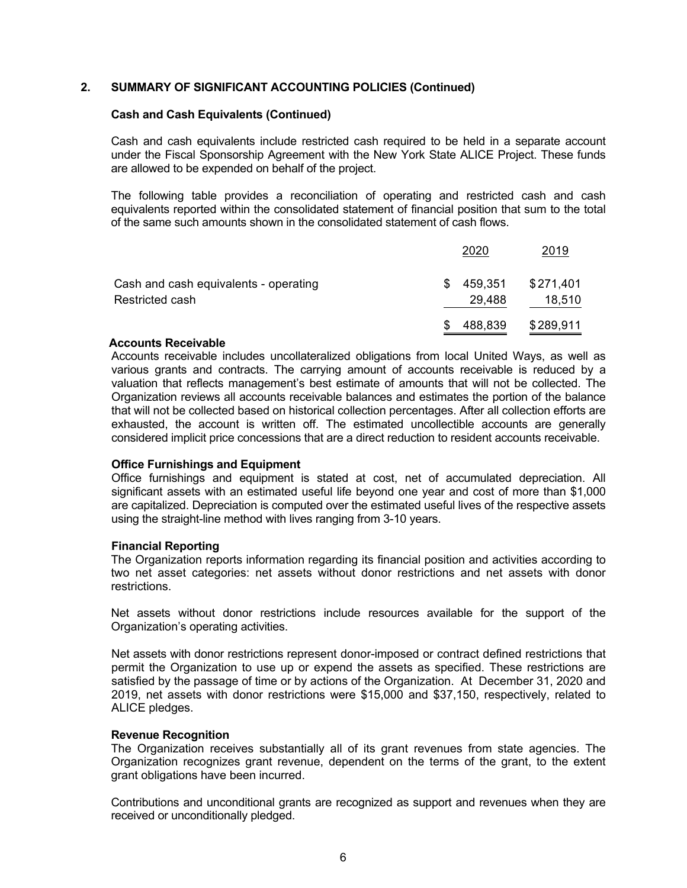### **2. SUMMARY OF SIGNIFICANT ACCOUNTING POLICIES (Continued)**

#### **Cash and Cash Equivalents (Continued)**

Cash and cash equivalents include restricted cash required to be held in a separate account under the Fiscal Sponsorship Agreement with the New York State ALICE Project. These funds are allowed to be expended on behalf of the project.

The following table provides a reconciliation of operating and restricted cash and cash equivalents reported within the consolidated statement of financial position that sum to the total of the same such amounts shown in the consolidated statement of cash flows.

|                                                          | 2020                   | 2019                |
|----------------------------------------------------------|------------------------|---------------------|
| Cash and cash equivalents - operating<br>Restricted cash | 459,351<br>S<br>29,488 | \$271,401<br>18,510 |
|                                                          | 488,839                | \$289,911           |

#### **Accounts Receivable**

Accounts receivable includes uncollateralized obligations from local United Ways, as well as various grants and contracts. The carrying amount of accounts receivable is reduced by a valuation that reflects management's best estimate of amounts that will not be collected. The Organization reviews all accounts receivable balances and estimates the portion of the balance that will not be collected based on historical collection percentages. After all collection efforts are exhausted, the account is written off. The estimated uncollectible accounts are generally considered implicit price concessions that are a direct reduction to resident accounts receivable.

### **Office Furnishings and Equipment**

Office furnishings and equipment is stated at cost, net of accumulated depreciation. All significant assets with an estimated useful life beyond one year and cost of more than \$1,000 are capitalized. Depreciation is computed over the estimated useful lives of the respective assets using the straight-line method with lives ranging from 3-10 years.

### **Financial Reporting**

The Organization reports information regarding its financial position and activities according to two net asset categories: net assets without donor restrictions and net assets with donor restrictions.

Net assets without donor restrictions include resources available for the support of the Organization's operating activities.

Net assets with donor restrictions represent donor-imposed or contract defined restrictions that permit the Organization to use up or expend the assets as specified. These restrictions are satisfied by the passage of time or by actions of the Organization. At December 31, 2020 and 2019, net assets with donor restrictions were \$15,000 and \$37,150, respectively, related to ALICE pledges.

#### **Revenue Recognition**

The Organization receives substantially all of its grant revenues from state agencies. The Organization recognizes grant revenue, dependent on the terms of the grant, to the extent grant obligations have been incurred.

Contributions and unconditional grants are recognized as support and revenues when they are received or unconditionally pledged.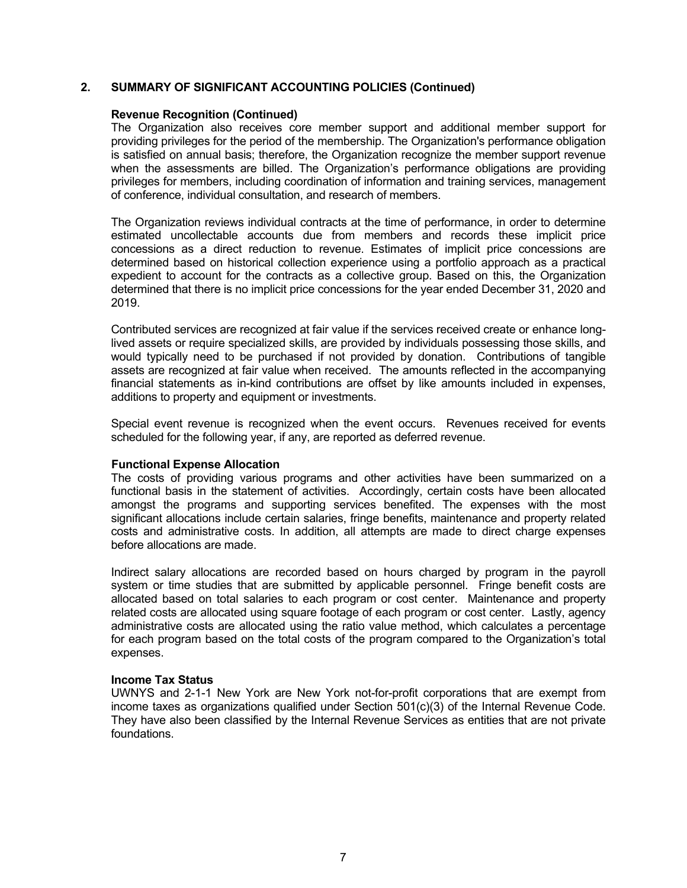#### **2. SUMMARY OF SIGNIFICANT ACCOUNTING POLICIES (Continued)**

#### **Revenue Recognition (Continued)**

The Organization also receives core member support and additional member support for providing privileges for the period of the membership. The Organization's performance obligation is satisfied on annual basis; therefore, the Organization recognize the member support revenue when the assessments are billed. The Organization's performance obligations are providing privileges for members, including coordination of information and training services, management of conference, individual consultation, and research of members.

The Organization reviews individual contracts at the time of performance, in order to determine estimated uncollectable accounts due from members and records these implicit price concessions as a direct reduction to revenue. Estimates of implicit price concessions are determined based on historical collection experience using a portfolio approach as a practical expedient to account for the contracts as a collective group. Based on this, the Organization determined that there is no implicit price concessions for the year ended December 31, 2020 and 2019.

Contributed services are recognized at fair value if the services received create or enhance longlived assets or require specialized skills, are provided by individuals possessing those skills, and would typically need to be purchased if not provided by donation. Contributions of tangible assets are recognized at fair value when received. The amounts reflected in the accompanying financial statements as in-kind contributions are offset by like amounts included in expenses, additions to property and equipment or investments.

Special event revenue is recognized when the event occurs. Revenues received for events scheduled for the following year, if any, are reported as deferred revenue.

#### **Functional Expense Allocation**

The costs of providing various programs and other activities have been summarized on a functional basis in the statement of activities. Accordingly, certain costs have been allocated amongst the programs and supporting services benefited. The expenses with the most significant allocations include certain salaries, fringe benefits, maintenance and property related costs and administrative costs. In addition, all attempts are made to direct charge expenses before allocations are made.

Indirect salary allocations are recorded based on hours charged by program in the payroll system or time studies that are submitted by applicable personnel. Fringe benefit costs are allocated based on total salaries to each program or cost center. Maintenance and property related costs are allocated using square footage of each program or cost center. Lastly, agency administrative costs are allocated using the ratio value method, which calculates a percentage for each program based on the total costs of the program compared to the Organization's total expenses.

#### **Income Tax Status**

UWNYS and 2-1-1 New York are New York not-for-profit corporations that are exempt from income taxes as organizations qualified under Section 501(c)(3) of the Internal Revenue Code. They have also been classified by the Internal Revenue Services as entities that are not private foundations.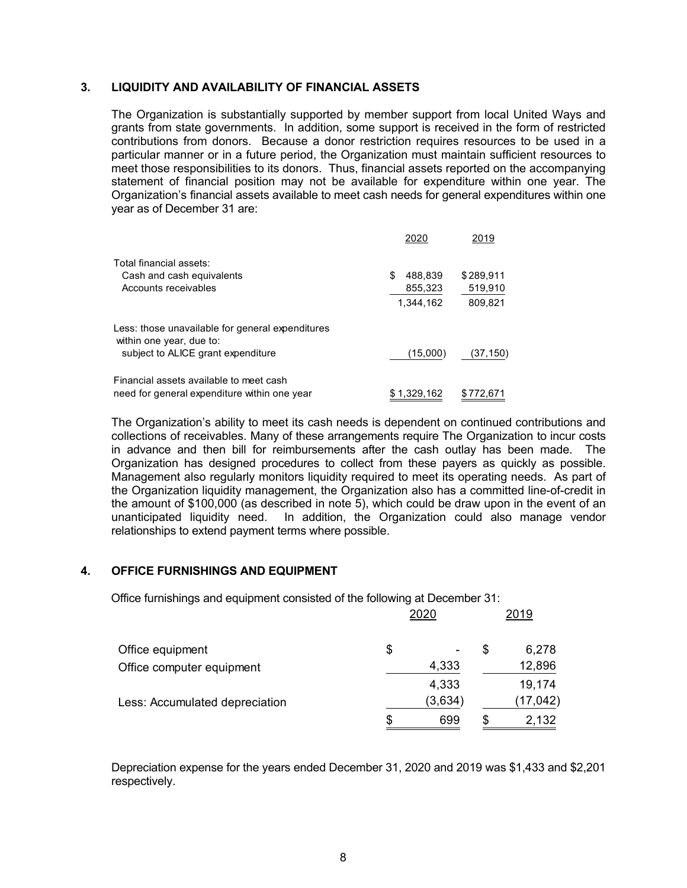#### **3. LIQUIDITY AND AVAILABILITY OF FINANCIAL ASSETS**

The Organization is substantially supported by member support from local United Ways and grants from state governments. In addition, some support is received in the form of restricted contributions from donors. Because a donor restriction requires resources to be used in a particular manner or in a future period, the Organization must maintain sufficient resources to meet those responsibilities to its donors. Thus, financial assets reported on the accompanying statement of financial position may not be available for expenditure within one year. The Organization's financial assets available to meet cash needs for general expenditures within one year as of December 31 are:

|                                                                              | 2020          | 2019      |
|------------------------------------------------------------------------------|---------------|-----------|
| Total financial assets:                                                      |               |           |
| Cash and cash equivalents                                                    | \$<br>488.839 | \$289.911 |
| Accounts receivables                                                         | 855,323       | 519,910   |
|                                                                              | 1.344.162     | 809,821   |
| Less: those unavailable for general expenditures<br>within one year, due to: |               |           |
| subject to ALICE grant expenditure                                           | (15,000)      | (37, 150) |
| Financial assets available to meet cash                                      |               |           |
| need for general expenditure within one year                                 | \$1,329,162   | \$772.671 |

The Organization's ability to meet its cash needs is dependent on continued contributions and collections of receivables. Many of these arrangements require The Organization to incur costs in advance and then bill for reimbursements after the cash outlay has been made. The Organization has designed procedures to collect from these payers as quickly as possible. Management also regularly monitors liquidity required to meet its operating needs. As part of the Organization liquidity management, the Organization also has a committed line-of-credit in the amount of \$100,000 (as described in note 5), which could be draw upon in the event of an unanticipated liquidity need. In addition, the Organization could also manage vendor relationships to extend payment terms where possible.

2020 2019

### **4. OFFICE FURNISHINGS AND EQUIPMENT**

Office furnishings and equipment consisted of the following at December 31:

|                                | ZUZU    |   | <b>2019</b> |
|--------------------------------|---------|---|-------------|
| Office equipment               | \$      | S | 6,278       |
| Office computer equipment      | 4,333   |   | 12,896      |
|                                | 4,333   |   | 19,174      |
| Less: Accumulated depreciation | (3,634) |   | (17, 042)   |
|                                | 699     |   | 2,132       |

Depreciation expense for the years ended December 31, 2020 and 2019 was \$1,433 and \$2,201 respectively.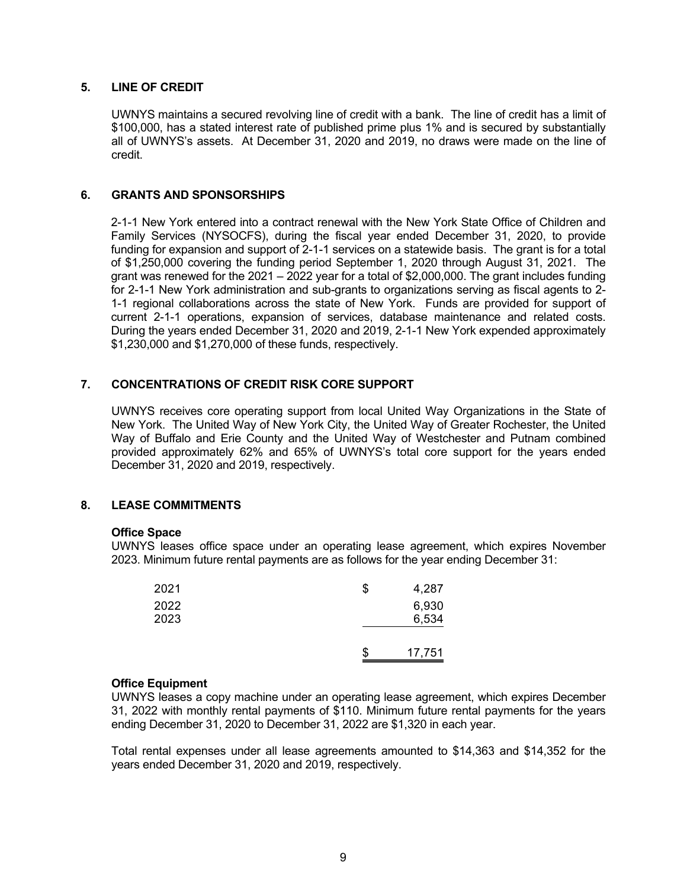#### **5. LINE OF CREDIT**

UWNYS maintains a secured revolving line of credit with a bank. The line of credit has a limit of \$100,000, has a stated interest rate of published prime plus 1% and is secured by substantially all of UWNYS's assets. At December 31, 2020 and 2019, no draws were made on the line of credit.

#### **6. GRANTS AND SPONSORSHIPS**

2-1-1 New York entered into a contract renewal with the New York State Office of Children and Family Services (NYSOCFS), during the fiscal year ended December 31, 2020, to provide funding for expansion and support of 2-1-1 services on a statewide basis. The grant is for a total of \$1,250,000 covering the funding period September 1, 2020 through August 31, 2021. The grant was renewed for the 2021 – 2022 year for a total of \$2,000,000. The grant includes funding for 2-1-1 New York administration and sub-grants to organizations serving as fiscal agents to 2- 1-1 regional collaborations across the state of New York. Funds are provided for support of current 2-1-1 operations, expansion of services, database maintenance and related costs. During the years ended December 31, 2020 and 2019, 2-1-1 New York expended approximately \$1,230,000 and \$1,270,000 of these funds, respectively.

### **7. CONCENTRATIONS OF CREDIT RISK CORE SUPPORT**

UWNYS receives core operating support from local United Way Organizations in the State of New York. The United Way of New York City, the United Way of Greater Rochester, the United Way of Buffalo and Erie County and the United Way of Westchester and Putnam combined provided approximately 62% and 65% of UWNYS's total core support for the years ended December 31, 2020 and 2019, respectively.

#### **8. LEASE COMMITMENTS**

#### **Office Space**

UWNYS leases office space under an operating lease agreement, which expires November 2023. Minimum future rental payments are as follows for the year ending December 31:

| 2021 | \$<br>4,287 |
|------|-------------|
| 2022 | 6,930       |
| 2023 | 6,534       |
|      |             |
|      | 17,751      |

#### **Office Equipment**

UWNYS leases a copy machine under an operating lease agreement, which expires December 31, 2022 with monthly rental payments of \$110. Minimum future rental payments for the years ending December 31, 2020 to December 31, 2022 are \$1,320 in each year.

Total rental expenses under all lease agreements amounted to \$14,363 and \$14,352 for the years ended December 31, 2020 and 2019, respectively.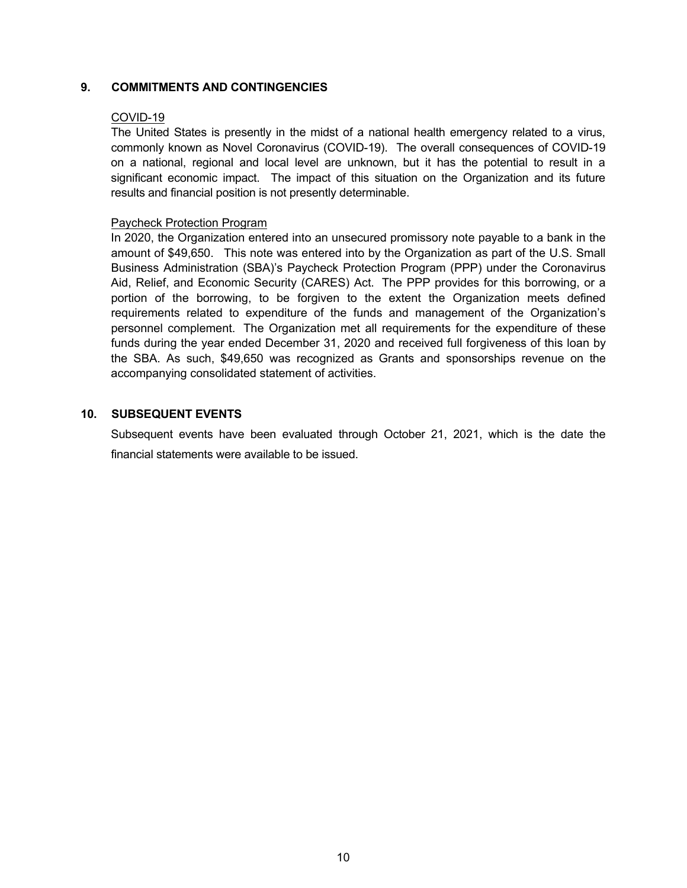### **9. COMMITMENTS AND CONTINGENCIES**

#### COVID-19

The United States is presently in the midst of a national health emergency related to a virus, commonly known as Novel Coronavirus (COVID-19). The overall consequences of COVID-19 on a national, regional and local level are unknown, but it has the potential to result in a significant economic impact. The impact of this situation on the Organization and its future results and financial position is not presently determinable.

#### Paycheck Protection Program

In 2020, the Organization entered into an unsecured promissory note payable to a bank in the amount of \$49,650. This note was entered into by the Organization as part of the U.S. Small Business Administration (SBA)'s Paycheck Protection Program (PPP) under the Coronavirus Aid, Relief, and Economic Security (CARES) Act. The PPP provides for this borrowing, or a portion of the borrowing, to be forgiven to the extent the Organization meets defined requirements related to expenditure of the funds and management of the Organization's personnel complement. The Organization met all requirements for the expenditure of these funds during the year ended December 31, 2020 and received full forgiveness of this loan by the SBA. As such, \$49,650 was recognized as Grants and sponsorships revenue on the accompanying consolidated statement of activities.

## **10. SUBSEQUENT EVENTS**

Subsequent events have been evaluated through October 21, 2021, which is the date the financial statements were available to be issued.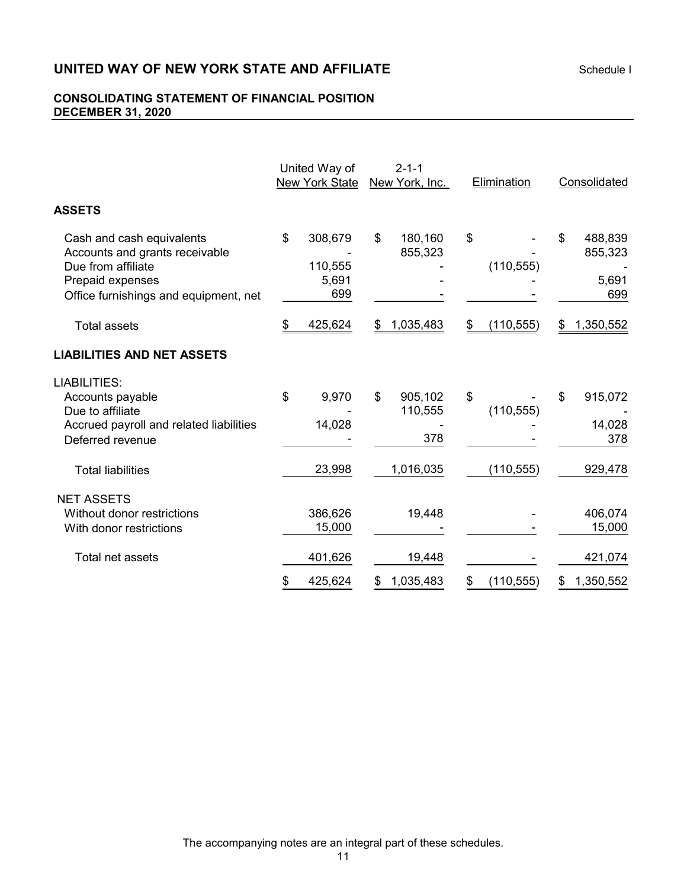# **UNITED WAY OF NEW YORK STATE AND AFFILIATE Schedule I**

## **CONSOLIDATING STATEMENT OF FINANCIAL POSITION DECEMBER 31, 2020**

|                                                                                                                                                | United Way of<br><b>New York State</b>   |    | $2 - 1 - 1$<br>New York, Inc. | Elimination      | Consolidated                             |
|------------------------------------------------------------------------------------------------------------------------------------------------|------------------------------------------|----|-------------------------------|------------------|------------------------------------------|
| <b>ASSETS</b>                                                                                                                                  |                                          |    |                               |                  |                                          |
| Cash and cash equivalents<br>Accounts and grants receivable<br>Due from affiliate<br>Prepaid expenses<br>Office furnishings and equipment, net | \$<br>308,679<br>110,555<br>5,691<br>699 | \$ | 180,160<br>855,323            | \$<br>(110, 555) | \$<br>488,839<br>855,323<br>5,691<br>699 |
| <b>Total assets</b>                                                                                                                            | \$<br>425,624                            | S  | 1,035,483                     | \$<br>(110, 555) | \$<br>1,350,552                          |
| <b>LIABILITIES AND NET ASSETS</b>                                                                                                              |                                          |    |                               |                  |                                          |
| LIABILITIES:<br>Accounts payable<br>Due to affiliate<br>Accrued payroll and related liabilities<br>Deferred revenue                            | \$<br>9,970<br>14,028                    | \$ | 905,102<br>110,555<br>378     | \$<br>(110, 555) | \$<br>915,072<br>14,028<br>378           |
| <b>Total liabilities</b>                                                                                                                       | 23,998                                   |    | 1,016,035                     | (110, 555)       | 929,478                                  |
| <b>NET ASSETS</b><br>Without donor restrictions<br>With donor restrictions                                                                     | 386,626<br>15,000                        |    | 19,448                        |                  | 406,074<br>15,000                        |
| Total net assets                                                                                                                               | 401,626                                  |    | 19,448                        |                  | 421,074                                  |
|                                                                                                                                                | \$<br>425,624                            | \$ | 1,035,483                     | \$<br>(110, 555) | \$<br>1,350,552                          |

The accompanying notes are an integral part of these schedules.